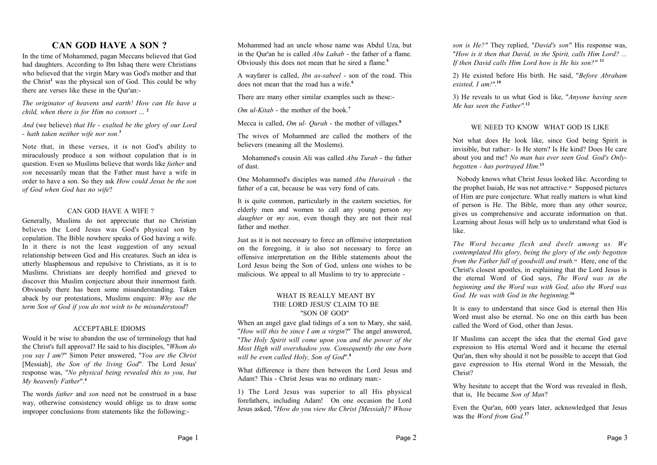### **CAN GOD HAVE A SON ?**

In the time of Mohammed, pagan Meccans believed that God had daughters. According to Ibn Ishaq there were Christians who believed that the virgin Mary was God's mother and that the Christ**<sup>1</sup>** was the physical son of God. This could be why there are verses like these in the Qur'an:-

*The originator of heavens and earth! How can He have a child, when there is for Him no consort* ... **2**

*And* (we believe) *that He - exalted be the glory of our Lord - hath taken neither wife nor son*. **3**

Note that, in these verses, it is not God's ability to miraculously produce a son without copulation that is in question. Even so Muslims believe that words like *father* and *son* necessarily mean that the Father must have a wife in order to have a son. So they ask *How could Jesus be the son of God when God has no wife*?

### CAN GOD HAVE A WIFE ?

Generally, Muslims do not appreciate that no Christian believes the Lord Jesus was God's physical son by copulation. The Bible nowhere speaks of God having a wife. In it there is not the least suggestion of any sexual relationship between God and His creatures. Such an idea is utterly blasphemous and repulsive to Christians, as it is to Muslims. Christians are deeply horrified and grieved to discover this Muslim conjecture about their innermost faith. Obviously there has been some misunderstanding. Taken aback by our protestations, Muslims enquire: *Why use the term Son of God if you do not wish to be misunderstood*?

### ACCEPTABLE IDIOMS

Would it be wise to abandon the use of terminology that had the Christ's full approval? He said to his disciples, "*Whom do you say I am*?" Simon Peter answered, "*You are the Christ* [Messiah], *the Son of the living God*". The Lord Jesus' response was, "*No physical being revealed this to you, but My heavenly Father*".**<sup>4</sup>**

The words *father* and *son* need not be construed in a base way, otherwise consistency would oblige us to draw some improper conclusions from statements like the following:-

Mohammed had an uncle whose name was Abdul Uza, but in the Qur'an he is called *Abu Lahab* - the father of a flame. Obviously this does not mean that he sired a flame.**<sup>5</sup>**

A wayfarer is called, *Ibn as-sabeel* - son of the road. This does not mean that the road has a wife.**<sup>6</sup>**

There are many other similar examples such as these:-

*Om ul-Kitab* - the mother of the book.**<sup>7</sup>**

Mecca is called, *Om ul- Qurah* - the mother of villages.**<sup>8</sup>**

The wives of Mohammed are called the mothers of the believers (meaning all the Moslems).

 Mohammed's cousin Ali was called *Abu Turab* - the father of dust.

One Mohammed's disciples was named *Abu Hurairah* - the father of a cat, because he was very fond of cats.

It is quite common, particularly in the eastern societies, for elderly men and women to call any young person *my daughter* or *my son*, even though they are not their real father and mother.

Just as it is not necessary to force an offensive interpretation on the foregoing, it is also not necessary to force an offensive interpretation on the Bible statements about the Lord Jesus being the Son of God, unless one wishes to be malicious. We appeal to all Muslims to try to appreciate -

### WHAT IS REALLY MEANT BY THE LORD JESUS' CLAIM TO BE "SON OF GOD"

When an angel gave glad tidings of a son to Mary, she said, "*How will this be since I am a virgin*?" The angel answered, "*The Holy Spirit will come upon you and the power of the Most High will overshadow you. Consequently the one born will be even called Holy, Son of God*".**<sup>9</sup>**

What difference is there then between the Lord Jesus and Adam? This - Christ Jesus was no ordinary man:-

1) The Lord Jesus was superior to all His physical forefathers, including Adam! On one occasion the Lord Jesus asked, "*How do you view the Christ [Messiah]? Whose*

*son is He?"* They replied, "*David's son"* His response was, "*How is it then that David, in the Spirit, calls Him Lord? ... If then David calls Him Lord how is He his son?"* **<sup>11</sup>**

2) He existed before His birth. He said, "*Before Abraham existed, I am!".***<sup>10</sup>**

3) He reveals to us what God is like, "*Anyone having seen Me has seen the Father".***<sup>12</sup>**

### WE NEED TO KNOW WHAT GOD IS LIKE

Not what does He look like, since God being Spirit is invisible, but rather:- Is He stern? Is He kind? Does He care about you and me? *No man has ever seen God. God's Onlybegotten - has portrayed Him*. **13**

 Nobody knows what Christ Jesus looked like. According to the prophet Isaiah, He was not attractive.**<sup>14</sup>** Supposed pictures of Him are pure conjecture. What really matters is what kind of person is He. The Bible, more than any other source, gives us comprehensive and accurate information on that. Learning about Jesus will help us to understand what God is like.

*The Word became flesh and dwelt among us. We contemplated His glory, being the glory of the only begotten from the Father full of goodwill and truth.***<sup>15</sup>** Here, one of the Christ's closest apostles, in explaining that the Lord Jesus is the eternal Word of God says, *The Word was in the beginning and the Word was with God, also the Word was God. He was with God in the beginning.***<sup>16</sup>**

It is easy to understand that since God is eternal then His Word must also be eternal. No one on this earth has been called the Word of God, other than Jesus.

If Muslims can accept the idea that the eternal God gave expression to His eternal Word and it became the eternal Qur'an, then why should it not be possible to accept that God gave expression to His eternal Word in the Messiah, the Christ?

Why hesitate to accept that the Word was revealed in flesh, that is, He became *Son of Man*?

Even the Qur'an, 600 years later, acknowledged that Jesus was the *Word from God.***<sup>17</sup>**